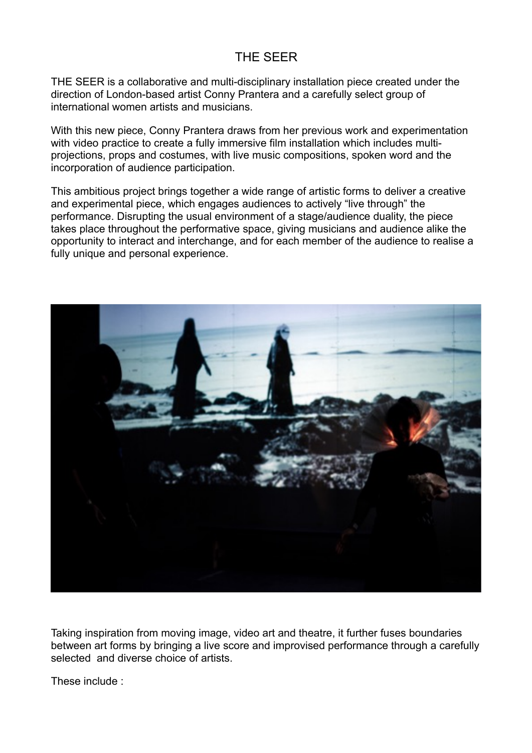## THE SEER

THE SEER is a collaborative and multi-disciplinary installation piece created under the direction of London-based artist Conny Prantera and a carefully select group of international women artists and musicians.

With this new piece, Conny Prantera draws from her previous work and experimentation with video practice to create a fully immersive film installation which includes multiprojections, props and costumes, with live music compositions, spoken word and the incorporation of audience participation.

This ambitious project brings together a wide range of artistic forms to deliver a creative and experimental piece, which engages audiences to actively "live through" the performance. Disrupting the usual environment of a stage/audience duality, the piece takes place throughout the performative space, giving musicians and audience alike the opportunity to interact and interchange, and for each member of the audience to realise a fully unique and personal experience.



Taking inspiration from moving image, video art and theatre, it further fuses boundaries between art forms by bringing a live score and improvised performance through a carefully selected and diverse choice of artists.

These include :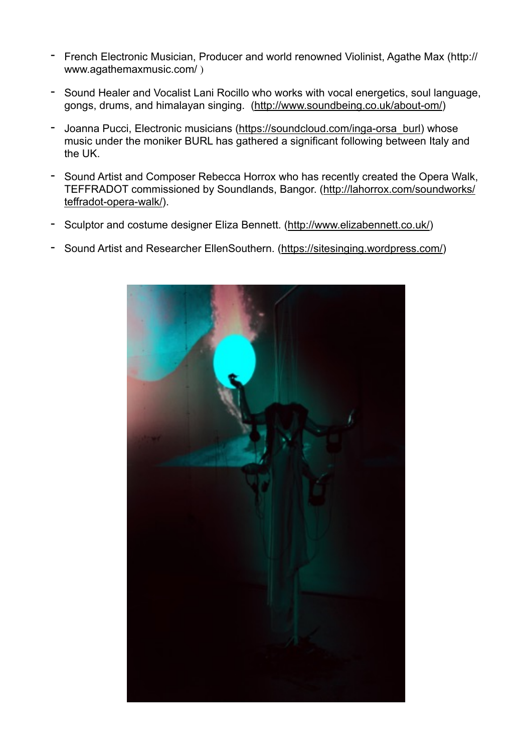- French Electronic Musician, Producer and world renowned Violinist, Agathe Max (http:// www.agathemaxmusic.com/ )
- Sound Healer and Vocalist Lani Rocillo who works with vocal energetics, soul language, gongs, drums, and himalayan singing. ([http://www.soundbeing.co.uk/about-om/\)](http://www.soundbeing.co.uk/about-om/)
- Joanna Pucci, Electronic musicians [\(https://soundcloud.com/inga-orsa\\_burl\)](https://soundcloud.com/inga-orsa_burl) whose music under the moniker BURL has gathered a significant following between Italy and the UK.
- Sound Artist and Composer Rebecca Horrox who has recently created the Opera Walk, [TEFFRADOT commissioned by Soundlands, Bangor. \(http://lahorrox.com/soundworks/](http://lahorrox.com/soundworks/teffradot-opera-walk/) teffradot-opera-walk/).
- Sculptor and costume designer Eliza Bennett. [\(http://www.elizabennett.co.uk/\)](http://www.elizabennett.co.uk/)
- Sound Artist and Researcher EllenSouthern. ([https://sitesinging.wordpress.com/\)](https://sitesinging.wordpress.com/)